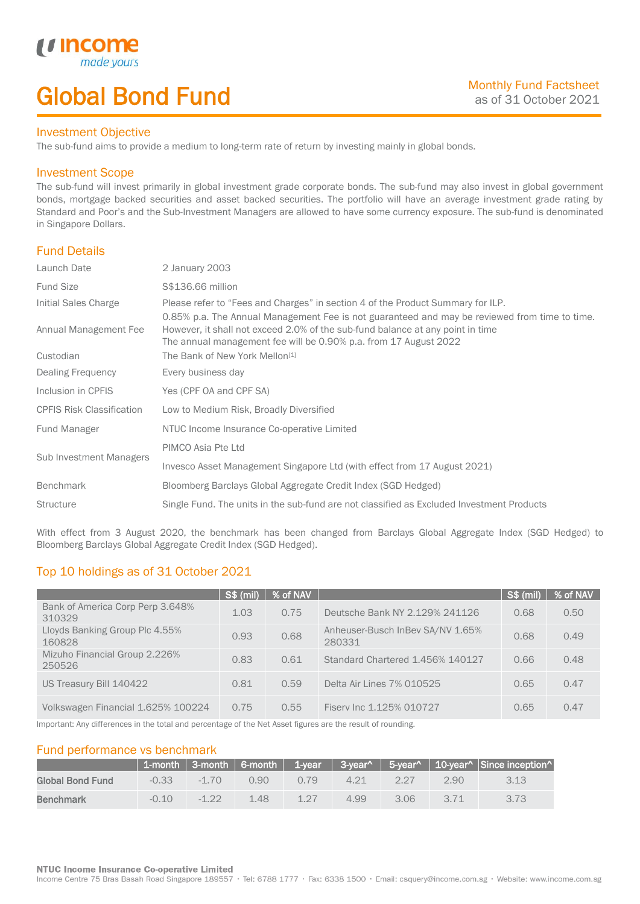# Global Bond Fund

### Investment Objective

made y

*u* incom

I

The sub-fund aims to provide a medium to long-term rate of return by investing mainly in global bonds.

### Investment Scope

The sub-fund will invest primarily in global investment grade corporate bonds. The sub-fund may also invest in global government bonds, mortgage backed securities and asset backed securities. The portfolio will have an average investment grade rating by Standard and Poor's and the Sub-Investment Managers are allowed to have some currency exposure. The sub-fund is denominated in Singapore Dollars.

## Fund Details

| 2 January 2003                                                                                                                                                                                                                                      |
|-----------------------------------------------------------------------------------------------------------------------------------------------------------------------------------------------------------------------------------------------------|
| S\$136.66 million                                                                                                                                                                                                                                   |
| Please refer to "Fees and Charges" in section 4 of the Product Summary for ILP.                                                                                                                                                                     |
| 0.85% p.a. The Annual Management Fee is not guaranteed and may be reviewed from time to time.<br>However, it shall not exceed 2.0% of the sub-fund balance at any point in time<br>The annual management fee will be 0.90% p.a. from 17 August 2022 |
| The Bank of New York Mellon <sup>[1]</sup>                                                                                                                                                                                                          |
| Every business day                                                                                                                                                                                                                                  |
| Yes (CPF OA and CPF SA)                                                                                                                                                                                                                             |
| Low to Medium Risk, Broadly Diversified                                                                                                                                                                                                             |
| NTUC Income Insurance Co-operative Limited                                                                                                                                                                                                          |
| PIMCO Asia Pte Ltd                                                                                                                                                                                                                                  |
| Invesco Asset Management Singapore Ltd (with effect from 17 August 2021)                                                                                                                                                                            |
| Bloomberg Barclays Global Aggregate Credit Index (SGD Hedged)                                                                                                                                                                                       |
| Single Fund. The units in the sub-fund are not classified as Excluded Investment Products                                                                                                                                                           |
|                                                                                                                                                                                                                                                     |

With effect from 3 August 2020, the benchmark has been changed from Barclays Global Aggregate Index (SGD Hedged) to Bloomberg Barclays Global Aggregate Credit Index (SGD Hedged).

# Top 10 holdings as of 31 October 2021

|                                            | <b>S\$ (mil)</b> | % of NAV |                                            | S\$ (mil) | % of NAV |
|--------------------------------------------|------------------|----------|--------------------------------------------|-----------|----------|
| Bank of America Corp Perp 3.648%<br>310329 | 1.03             | 0.75     | Deutsche Bank NY 2.129% 241126             | 0.68      | 0.50     |
| Lloyds Banking Group Plc 4.55%<br>160828   | 0.93             | 0.68     | Anheuser-Busch InBev SA/NV 1.65%<br>280331 | 0.68      | 0.49     |
| Mizuho Financial Group 2.226%<br>250526    | 0.83             | 0.61     | Standard Chartered 1.456% 140127           | 0.66      | 0.48     |
| US Treasury Bill 140422                    | 0.81             | 0.59     | Delta Air Lines 7% 010525                  | 0.65      | 0.47     |
| Volkswagen Financial 1.625% 100224         | 0.75             | 0.55     | Fisery Inc 1.125% 010727                   | 0.65      | 0.47     |

Important: Any differences in the total and percentage of the Net Asset figures are the result of rounding.

## Fund performance vs benchmark

|                  |         |          |      |      |      |      |      | 1-month 3-month 6-month 1-year 3-year 5-year 10-year $\sim$ 10-year Since inception |
|------------------|---------|----------|------|------|------|------|------|-------------------------------------------------------------------------------------|
| Global Bond Fund | $-0.33$ | $-1.70$  | 0.90 | 0.79 | 4.21 | 227  | 2.90 | 3.13                                                                                |
| <b>Benchmark</b> | $-0.10$ | $-1, 22$ | 1.48 | 1 27 | 4.99 | 3.06 | 3.71 |                                                                                     |